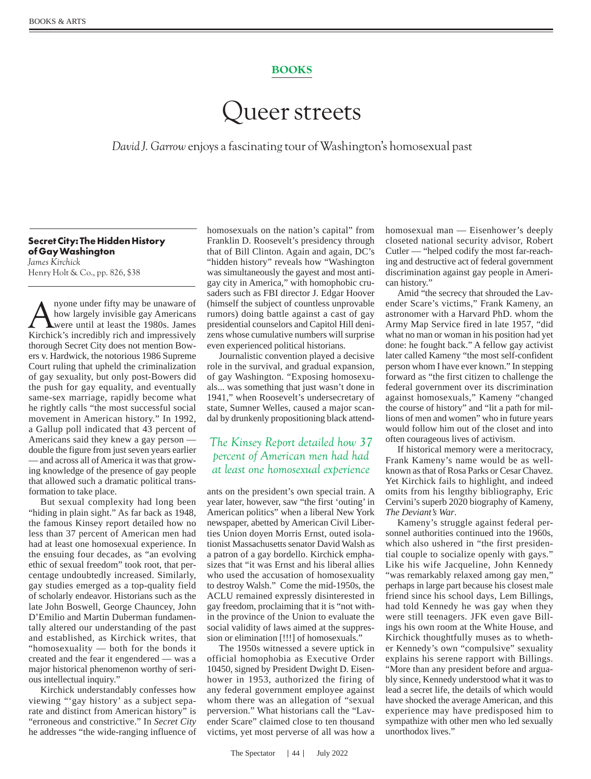## BOOKS

## Queer streets

*David J. Garrow* enjoys a fascinating tour of Washington's homosexual past

## **Secret City: The Hidden History of Gay Washington** *James Kirchick* Henry Holt & Co., pp. 826, \$38

A nyone under fifty may be unaware of<br>how largely invisible gay Americans<br>were until at least the 1980s. James<br>Kirchick's incredibly rich and impressively how largely invisible gay Americans were until at least the 1980s. James Kirchick's incredibly rich and impressively thorough Secret City does not mention Bowers v. Hardwick, the notorious 1986 Supreme Court ruling that upheld the criminalization of gay sexuality, but only post-Bowers did the push for gay equality, and eventually same-sex marriage, rapidly become what he rightly calls "the most successful social movement in American history." In 1992, a Gallup poll indicated that 43 percent of Americans said they knew a gay person double the figure from just seven years earlier — and across all of America it was that growing knowledge of the presence of gay people that allowed such a dramatic political transformation to take place.

But sexual complexity had long been "hiding in plain sight." As far back as 1948, the famous Kinsey report detailed how no less than 37 percent of American men had had at least one homosexual experience. In the ensuing four decades, as "an evolving ethic of sexual freedom" took root, that percentage undoubtedly increased. Similarly, gay studies emerged as a top-quality field of scholarly endeavor. Historians such as the late John Boswell, George Chauncey, John D'Emilio and Martin Duberman fundamentally altered our understanding of the past and established, as Kirchick writes, that "homosexuality — both for the bonds it created and the fear it engendered — was a major historical phenomenon worthy of serious intellectual inquiry."

Kirchick understandably confesses how viewing "'gay history' as a subject separate and distinct from American history" is "erroneous and constrictive." In *Secret City* he addresses "the wide-ranging influence of homosexuals on the nation's capital" from Franklin D. Roosevelt's presidency through that of Bill Clinton. Again and again, DC's "hidden history" reveals how "Washington was simultaneously the gayest and most antigay city in America," with homophobic crusaders such as FBI director J. Edgar Hoover (himself the subject of countless unprovable rumors) doing battle against a cast of gay presidential counselors and Capitol Hill denizens whose cumulative numbers will surprise even experienced political historians.

Journalistic convention played a decisive role in the survival, and gradual expansion, of gay Washington. "Exposing homosexuals... was something that just wasn't done in 1941," when Roosevelt's undersecretary of state, Sumner Welles, caused a major scandal by drunkenly propositioning black attend-

## *The Kinsey Report detailed how 37 percent of American men had had at least one homosexual experience*

ants on the president's own special train. A year later, however, saw "the first 'outing' in American politics" when a liberal New York newspaper, abetted by American Civil Liberties Union doyen Morris Ernst, outed isolationist Massachusetts senator David Walsh as a patron of a gay bordello. Kirchick emphasizes that "it was Ernst and his liberal allies who used the accusation of homosexuality to destroy Walsh." Come the mid-1950s, the ACLU remained expressly disinterested in gay freedom, proclaiming that it is "not within the province of the Union to evaluate the social validity of laws aimed at the suppression or elimination [!!!] of homosexuals."

The 1950s witnessed a severe uptick in official homophobia as Executive Order 10450, signed by President Dwight D. Eisenhower in 1953, authorized the firing of any federal government employee against whom there was an allegation of "sexual perversion." What historians call the "Lavender Scare" claimed close to ten thousand victims, yet most perverse of all was how a

homosexual man — Eisenhower's deeply closeted national security advisor, Robert Cutler — "helped codify the most far-reaching and destructive act of federal government discrimination against gay people in American history."

Amid "the secrecy that shrouded the Lavender Scare's victims," Frank Kameny, an astronomer with a Harvard PhD. whom the Army Map Service fired in late 1957, "did what no man or woman in his position had yet done: he fought back." A fellow gay activist later called Kameny "the most self-confident person whom I have ever known." In stepping forward as "the first citizen to challenge the federal government over its discrimination against homosexuals," Kameny "changed the course of history" and "lit a path for millions of men and women" who in future years would follow him out of the closet and into often courageous lives of activism.

If historical memory were a meritocracy, Frank Kameny's name would be as wellknown as that of Rosa Parks or Cesar Chavez. Yet Kirchick fails to highlight, and indeed omits from his lengthy bibliography, Eric Cervini's superb 2020 biography of Kameny, *The Deviant's War*.

Kameny's struggle against federal personnel authorities continued into the 1960s, which also ushered in "the first presidential couple to socialize openly with gays." Like his wife Jacqueline, John Kennedy "was remarkably relaxed among gay men," perhaps in large part because his closest male friend since his school days, Lem Billings, had told Kennedy he was gay when they were still teenagers. JFK even gave Billings his own room at the White House, and Kirchick thoughtfully muses as to whether Kennedy's own "compulsive" sexuality explains his serene rapport with Billings. "More than any president before and arguably since, Kennedy understood what it was to lead a secret life, the details of which would have shocked the average American, and this experience may have predisposed him to sympathize with other men who led sexually unorthodox lives."